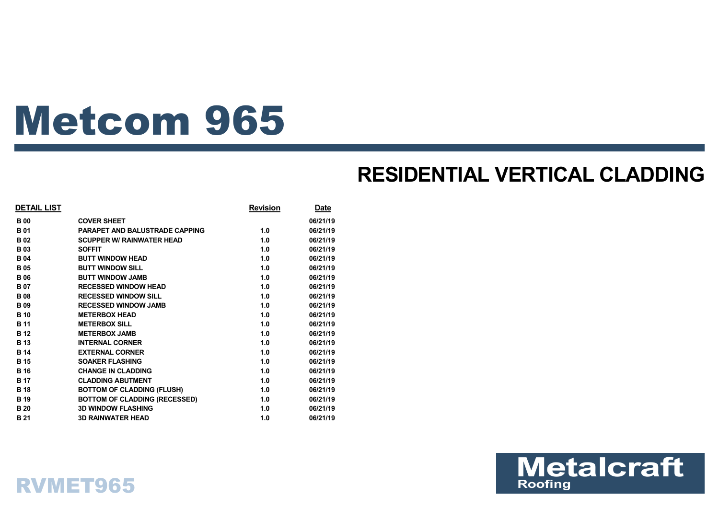# Metcom 965

## **RESIDENTIAL VERTICAL CLADDING**

| <b>DETAIL LIST</b> |                                       | <b>Revision</b> | Date     |
|--------------------|---------------------------------------|-----------------|----------|
| <b>B</b> 00        | <b>COVER SHEET</b>                    |                 | 06/21/19 |
| <b>B01</b>         | <b>PARAPET AND BALUSTRADE CAPPING</b> | 1.0             | 06/21/19 |
| <b>B02</b>         | <b>SCUPPER W/ RAINWATER HEAD</b>      | 1.0             | 06/21/19 |
| <b>B03</b>         | <b>SOFFIT</b>                         | 1.0             | 06/21/19 |
| <b>B04</b>         | <b>BUTT WINDOW HEAD</b>               | 1.0             | 06/21/19 |
| <b>B</b> 05        | <b>BUTT WINDOW SILL</b>               | 1.0             | 06/21/19 |
| <b>B</b> 06        | <b>BUTT WINDOW JAMB</b>               | 1.0             | 06/21/19 |
| <b>B07</b>         | <b>RECESSED WINDOW HEAD</b>           | 1.0             | 06/21/19 |
| <b>B</b> 08        | <b>RECESSED WINDOW SILL</b>           | 1.0             | 06/21/19 |
| <b>B09</b>         | <b>RECESSED WINDOW JAMB</b>           | 1.0             | 06/21/19 |
| <b>B</b> 10        | <b>METERBOX HEAD</b>                  | 1.0             | 06/21/19 |
| <b>B</b> 11        | <b>METERBOX SILL</b>                  | 1.0             | 06/21/19 |
| <b>B</b> 12        | <b>METERBOX JAMB</b>                  | 1.0             | 06/21/19 |
| <b>B</b> 13        | <b>INTERNAL CORNER</b>                | 1.0             | 06/21/19 |
| <b>B</b> 14        | <b>EXTERNAL CORNER</b>                | 1.0             | 06/21/19 |
| <b>B</b> 15        | <b>SOAKER FLASHING</b>                | 1.0             | 06/21/19 |
| <b>B</b> 16        | <b>CHANGE IN CLADDING</b>             | 1.0             | 06/21/19 |
| <b>B</b> 17        | <b>CLADDING ABUTMENT</b>              | 1.0             | 06/21/19 |
| <b>B</b> 18        | <b>BOTTOM OF CLADDING (FLUSH)</b>     | 1.0             | 06/21/19 |
| <b>B</b> 19        | <b>BOTTOM OF CLADDING (RECESSED)</b>  | 1.0             | 06/21/19 |
| <b>B</b> 20        | <b>3D WINDOW FLASHING</b>             | 1.0             | 06/21/19 |
| <b>B21</b>         | <b>3D RAINWATER HEAD</b>              | 1.0             | 06/21/19 |



## RVMET965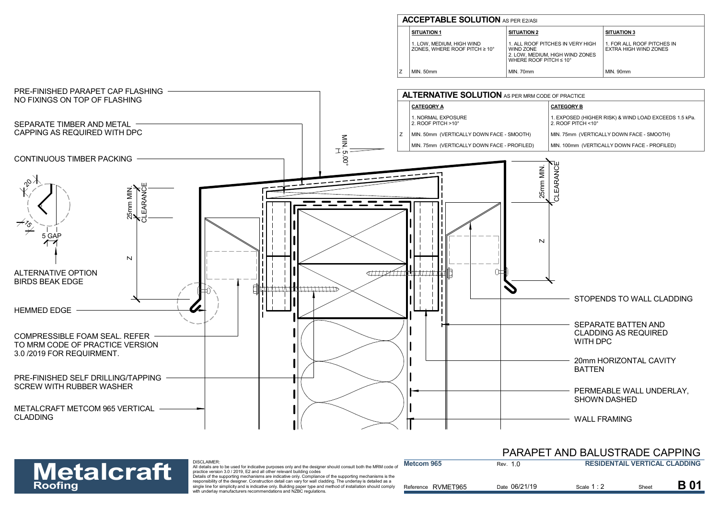| <b>ACCEPTABLE SOLUTION</b> AS PER E2/ASI                               |                                                                                                                        |                                                     |  |  |  |
|------------------------------------------------------------------------|------------------------------------------------------------------------------------------------------------------------|-----------------------------------------------------|--|--|--|
| <b>SITUATION 1</b>                                                     | <b>SITUATION 2</b>                                                                                                     | <b>SITUATION 3</b>                                  |  |  |  |
| 1. LOW. MEDIUM. HIGH WIND<br>ZONES. WHERE ROOF PITCH $\geq 10^{\circ}$ | 1. ALL ROOF PITCHES IN VERY HIGH<br>WIND ZONE<br>2. LOW. MEDIUM. HIGH WIND ZONES<br>WHERE ROOF PITCH $\leq 10^{\circ}$ | 1. FOR ALL ROOF PITCHES IN<br>EXTRA HIGH WIND ZONES |  |  |  |
| MIN. 50mm                                                              | <b>MIN. 70mm</b>                                                                                                       | MIN. 90mm                                           |  |  |  |



# **Metalcraft**

|                | PARAPET AND BALUSTRADE CAPPING       |
|----------------|--------------------------------------|
| <b>David A</b> | <b>DESIDENTAIL VEDTICAL CLADDING</b> |

| <b>Metalcraft</b> | DISCLAIMER:<br>All details are to be used for indicative purposes only and the designer should consult both the MRM code of<br>practice version 3.0 / 2019, E2 and all other relevant building codes                                                                                                                                                                                                              | <b>Metcom 965</b>  | Rev. 1.0      | <b>RESIDENTAIL VERTICAL CLADDING</b> |       |       |
|-------------------|-------------------------------------------------------------------------------------------------------------------------------------------------------------------------------------------------------------------------------------------------------------------------------------------------------------------------------------------------------------------------------------------------------------------|--------------------|---------------|--------------------------------------|-------|-------|
| <b>Roofing</b>    | Details of the supporting mechanisms are indicative only. Compliance of the supporting mechanisms is the<br>responsibility of the designer. Construction detail can vary for wall cladding. The underlay is detailed as a<br>single line for simplicity and is indicative only. Building paper type and method of installation should comply<br>with underlay manufacturers recommendations and NZBC regulations. | Reference RVMET965 | Date 06/21/19 | Scale 1 : 2                          | Sheet | $B_0$ |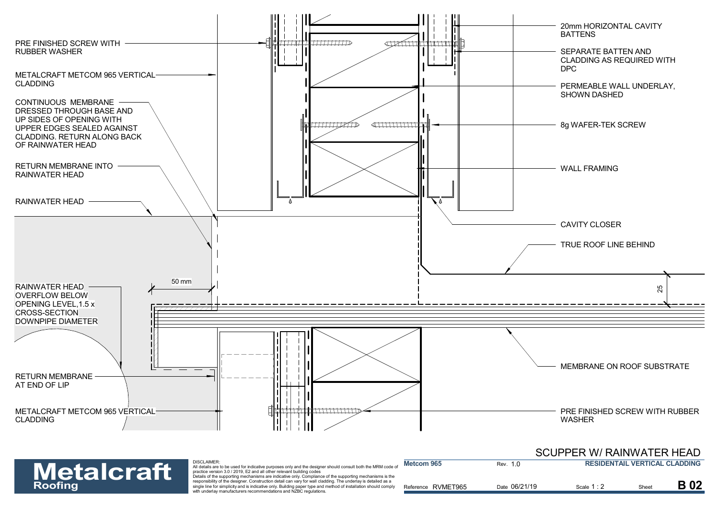

| <b>Metalcraft</b> | DISCLAIMER:<br>All details are to be used for indicative purposes only and the designer should consult both the MRM code of<br>practice version 3.0 / 2019. E2 and all other relevant building codes                                                                                                                                                                                                              | Metcom 965         | Rev. 1.0      | <b>RESIDENTAIL VERTICAL CLADDING</b> |       |             |
|-------------------|-------------------------------------------------------------------------------------------------------------------------------------------------------------------------------------------------------------------------------------------------------------------------------------------------------------------------------------------------------------------------------------------------------------------|--------------------|---------------|--------------------------------------|-------|-------------|
| <b>Roofing</b>    | Details of the supporting mechanisms are indicative only. Compliance of the supporting mechanisms is the<br>responsibility of the designer. Construction detail can vary for wall cladding. The underlay is detailed as a<br>single line for simplicity and is indicative only. Building paper type and method of installation should comply<br>with underlay manufacturers recommendations and NZBC regulations. | Reference RVMET965 | Date 06/21/19 | Scale 1 ∷∠                           | Sheet | <b>B</b> 02 |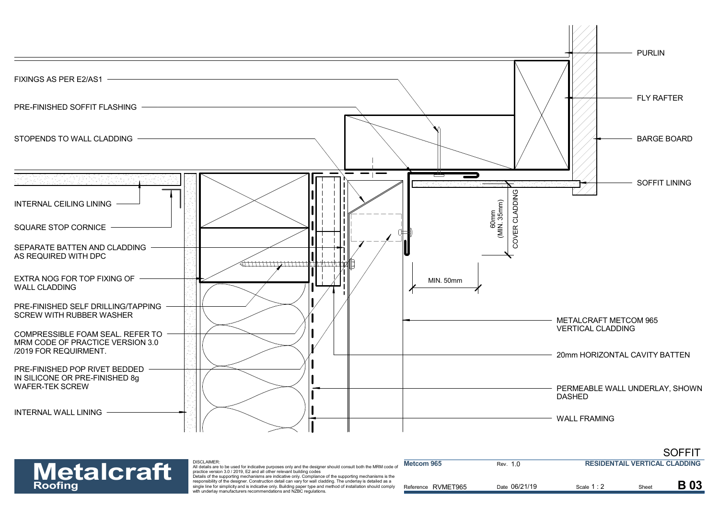

|                   |                                                                                                                                                                                                                                                                                                                         |                    |               |                                      |       | ----       |
|-------------------|-------------------------------------------------------------------------------------------------------------------------------------------------------------------------------------------------------------------------------------------------------------------------------------------------------------------------|--------------------|---------------|--------------------------------------|-------|------------|
| <b>Metalcraft</b> | <b>DISCLAIMER:</b><br>All details are to be used for indicative purposes only and the designer should consult both the MRM code of<br>practice version 3.0 / 2019, E2 and all other relevant building codes<br>Details of the supporting mechanisms are indicative only. Compliance of the supporting mechanisms is the | Metcom 965         | Rev. 1.0      | <b>RESIDENTAIL VERTICAL CLADDING</b> |       |            |
| <b>Roofing</b>    | responsibility of the designer. Construction detail can vary for wall cladding. The underlay is detailed as a<br>single line for simplicity and is indicative only. Building paper type and method of installation should comply<br>with underlay manufacturers recommendations and NZBC regulations.                   | Reference RVMET965 | Date 06/21/19 | Scale $1:$                           | Sheet | <b>B03</b> |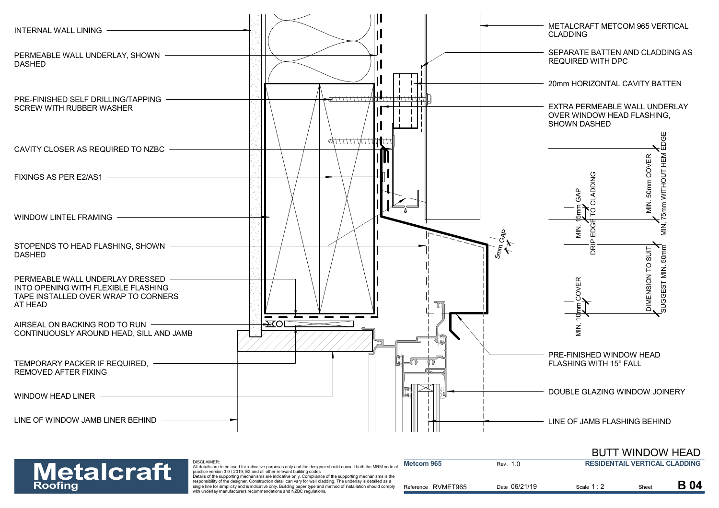



| <b>Metalcraft</b> | DISCLAIMER:<br>All details are to be used for indicative purposes only and the designer should consult both the MRM code o.<br>practice version 3.0 / 2019. E2 and all other relevant building codes                                                                                                                                                                                                              | Metcom 965         | Rev. 1.0      | <b>RESIDENTAIL VERTICAL CLADDING</b> |       |            |
|-------------------|-------------------------------------------------------------------------------------------------------------------------------------------------------------------------------------------------------------------------------------------------------------------------------------------------------------------------------------------------------------------------------------------------------------------|--------------------|---------------|--------------------------------------|-------|------------|
| <b>Roofing</b>    | Details of the supporting mechanisms are indicative only. Compliance of the supporting mechanisms is the<br>responsibility of the designer. Construction detail can vary for wall cladding. The underlay is detailed as a<br>single line for simplicity and is indicative only. Building paper type and method of installation should comply<br>with underlay manufacturers recommendations and NZBC regulations. | Reference RVMET965 | Date 06/21/19 | Scale 1:                             | Sheet | <b>B04</b> |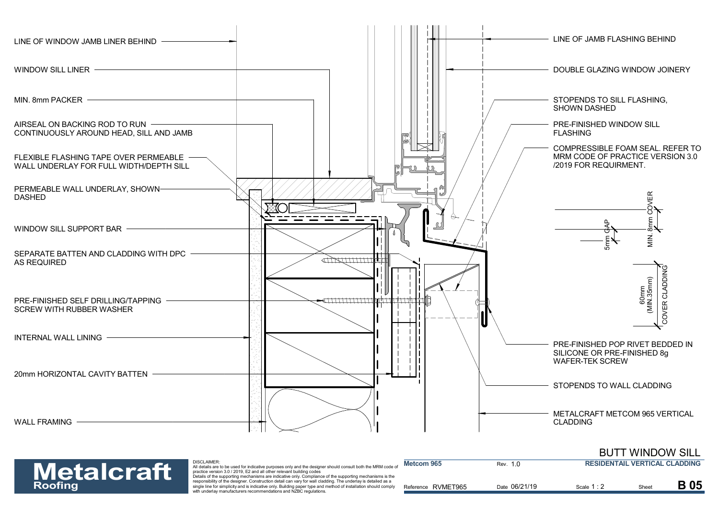



DISCLAIMER:

| <b>Metalcraft</b> | <b>DISCLAIMER:</b><br>All details are to be used for indicative purposes only and the designer should consult both the MRM code of<br>practice version 3.0 / 2019. E2 and all other relevant building codes                                                                                                                                                                                                       | Metcom 965         | Rev. 1.0      | <b>RESIDENTAIL VERTICAL CLADDING</b> |      |             |
|-------------------|-------------------------------------------------------------------------------------------------------------------------------------------------------------------------------------------------------------------------------------------------------------------------------------------------------------------------------------------------------------------------------------------------------------------|--------------------|---------------|--------------------------------------|------|-------------|
| <b>Roofing</b>    | Details of the supporting mechanisms are indicative only. Compliance of the supporting mechanisms is the<br>responsibility of the designer. Construction detail can vary for wall cladding. The underlay is detailed as a<br>single line for simplicity and is indicative only. Building paper type and method of installation should comply<br>with underlay manufacturers recommendations and NZBC regulations. | Reference RVMET965 | Date 06/21/19 | Scale 1 : :                          | Shee | <b>B</b> 05 |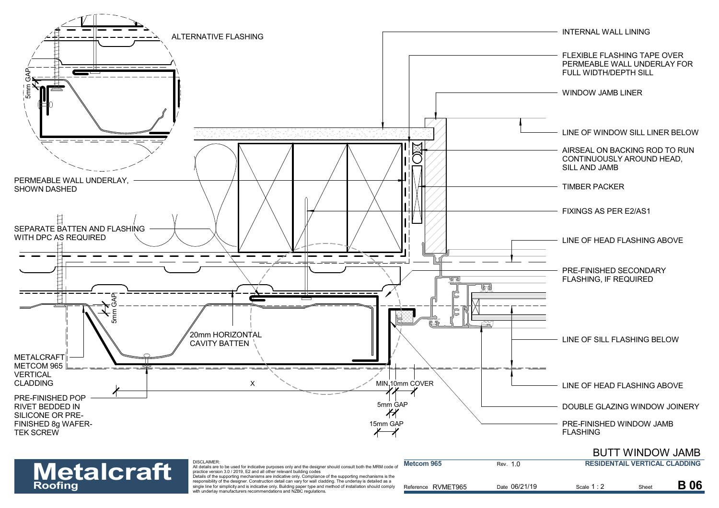

|                                                                                                                         | Metalcraft<br><b>Roofing</b> | practice version 3.0 / 2019. E2 and all other relevant building codes<br>responsibility of the designer. Construction detail can vary for wall cladding. The underlay is detailed as a<br>single line for simplicity and is indicative only. Building paper type and method of installation should comply<br>with underlay manufacturers recommendations and NZBC regulations. | RVMET965<br>Reference | Date 06/21/19 | Scale 1 · | Shee |  |
|-------------------------------------------------------------------------------------------------------------------------|------------------------------|--------------------------------------------------------------------------------------------------------------------------------------------------------------------------------------------------------------------------------------------------------------------------------------------------------------------------------------------------------------------------------|-----------------------|---------------|-----------|------|--|
| Details of the supporting mechanisms are indicative only. Compliance of the supporting mechanisms is the<br><b>B</b> 06 |                              | All details are to be used for indicative purposes only and the designer should consult both the iviryivi code or                                                                                                                                                                                                                                                              |                       |               |           |      |  |
|                                                                                                                         |                              |                                                                                                                                                                                                                                                                                                                                                                                |                       |               |           |      |  |
|                                                                                                                         |                              |                                                                                                                                                                                                                                                                                                                                                                                |                       |               |           |      |  |
|                                                                                                                         |                              |                                                                                                                                                                                                                                                                                                                                                                                |                       |               |           |      |  |
|                                                                                                                         |                              |                                                                                                                                                                                                                                                                                                                                                                                |                       |               |           |      |  |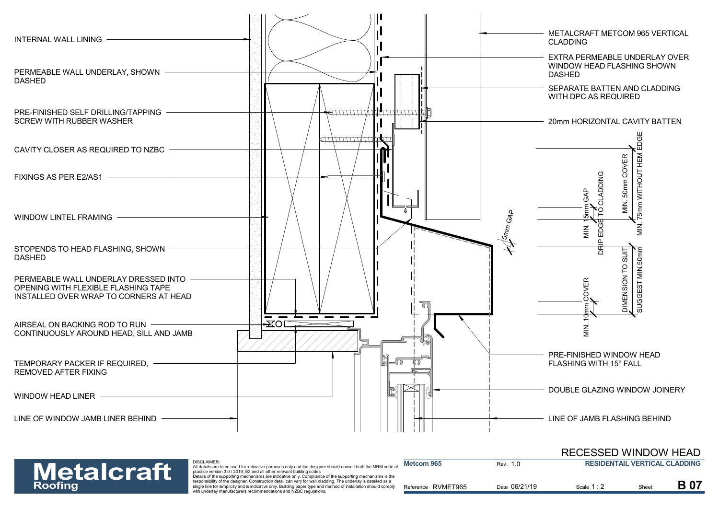

| <b>Metalcraft</b> | <b>DISCLAIMER:</b><br>All details are to be used for indicative purposes only and the designer should consult both the MRM code of<br>practice version 3.0 / 2019. E2 and all other relevant building codes                                                                                                                                                                                                       | Metcom 965         | Rev. 1.0      | <b>RESIDENTAIL VERTICAL CLADDING</b> |       |  |
|-------------------|-------------------------------------------------------------------------------------------------------------------------------------------------------------------------------------------------------------------------------------------------------------------------------------------------------------------------------------------------------------------------------------------------------------------|--------------------|---------------|--------------------------------------|-------|--|
| <b>Roofing</b>    | Details of the supporting mechanisms are indicative only. Compliance of the supporting mechanisms is the<br>responsibility of the designer. Construction detail can vary for wall cladding. The underlay is detailed as a<br>single line for simplicity and is indicative only. Building paper type and method of installation should comply<br>with underlay manufacturers recommendations and NZBC regulations. | Reference RVMET965 | Date 06/21/19 | Scale 1:2                            | Sheet |  |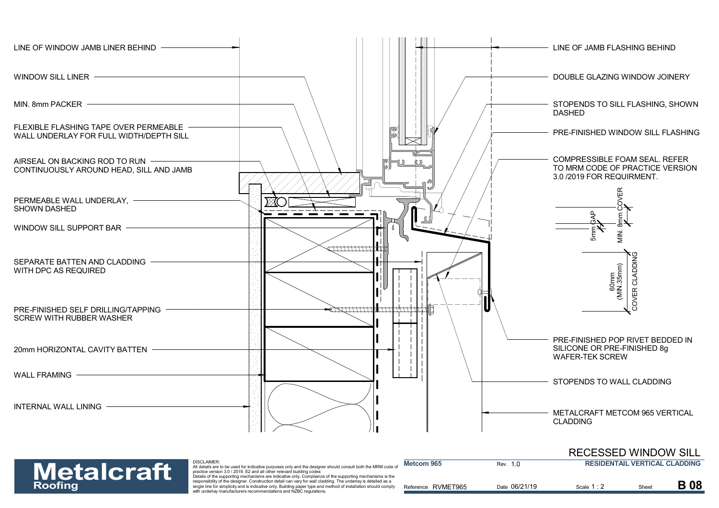



| <b>Metalcraft</b> | DISCLAIMER:<br>All details are to be used for indicative purposes only and the designer should consult both the MRM code of<br>practice version 3.0 / 2019. E2 and all other relevant building codes                                                                                                                                                                                                              | <b>Metcom 965</b>  | Rev. 10       | <b>RESIDENTAIL VERTICAL CLADDING</b> |             |             |
|-------------------|-------------------------------------------------------------------------------------------------------------------------------------------------------------------------------------------------------------------------------------------------------------------------------------------------------------------------------------------------------------------------------------------------------------------|--------------------|---------------|--------------------------------------|-------------|-------------|
| <b>Roofing</b>    | Details of the supporting mechanisms are indicative only. Compliance of the supporting mechanisms is the<br>responsibility of the designer. Construction detail can vary for wall cladding. The underlay is detailed as a<br>single line for simplicity and is indicative only. Building paper type and method of installation should comply<br>with underlay manufacturers recommendations and NZBC regulations. | Reference RVMET965 | Date 06/21/19 | Scale 1:                             | <b>Shee</b> | <b>B</b> 08 |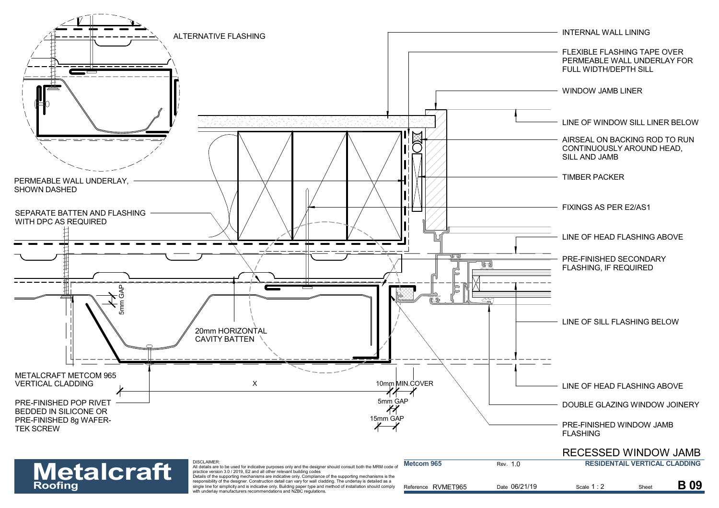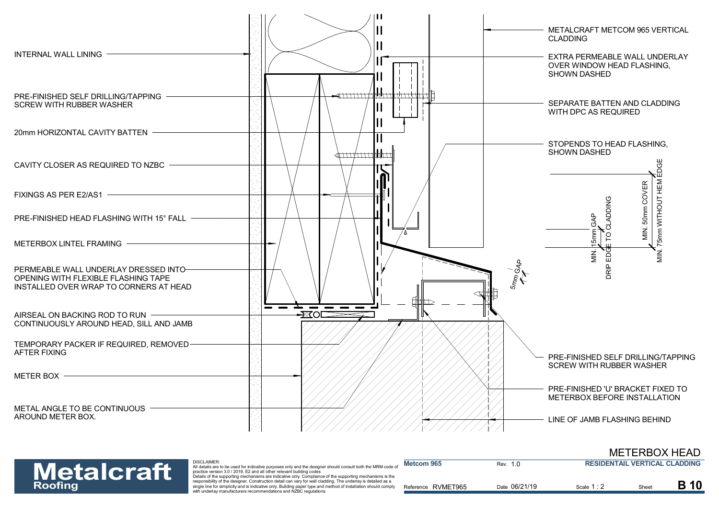



| <b>Metalcraft</b> | <b>DISCLAIMER:</b><br>All details are to be used for indicative purposes only and the designer should consult both the MRM code o.<br>practice version 3.0 / 2019. E2 and all other relevant building codes                                                                                                                                                                                                       | Metcom 965         | Rev. 1.0      | <b>RESIDENTAIL VERTICAL CLADDING</b> |       |             |
|-------------------|-------------------------------------------------------------------------------------------------------------------------------------------------------------------------------------------------------------------------------------------------------------------------------------------------------------------------------------------------------------------------------------------------------------------|--------------------|---------------|--------------------------------------|-------|-------------|
| <b>Roofing</b>    | Details of the supporting mechanisms are indicative only. Compliance of the supporting mechanisms is the<br>responsibility of the designer. Construction detail can vary for wall cladding. The underlay is detailed as a<br>single line for simplicity and is indicative only. Building paper type and method of installation should comply<br>with underlay manufacturers recommendations and NZBC regulations. | Reference RVMET965 | Date 06/21/19 | Scale 1 : .                          | Sheet | <b>B</b> 10 |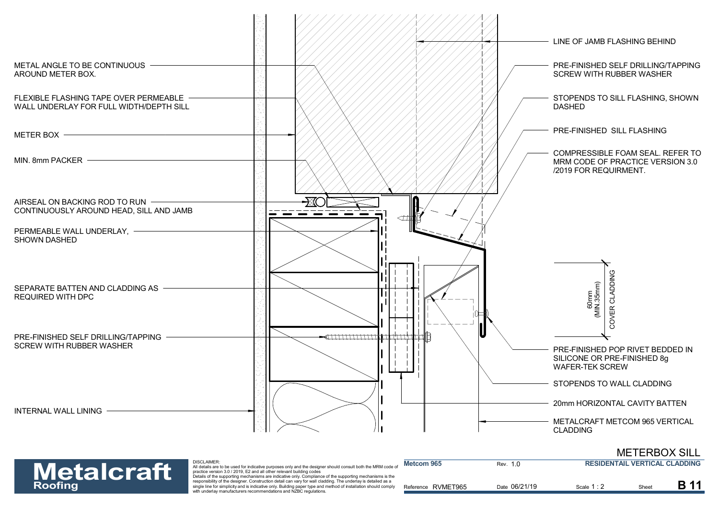

#### METERBOX SILL

DISCLAIMER: All details are to be used for indicative purposes only and the designer should consult both the MRM code of<br>practice version 3.0 / 2019, E2 and all other relevant building codes<br>Details of the supporting mechanisms are in **Metalcraft** 

| <b>Metalcraft</b> | DISCLAIMER:<br>All details are to be used for indicative purposes only and the designer should consult both the MRM code of<br>practice version 3.0 / 2019. E2 and all other relevant building codes<br>Details of the supporting mechanisms are indicative only. Compliance of the supporting mechanisms is the | <b>Metcom 965</b>  | Rev. 1.0      | <b>RESIDENTAIL VERTICAL CLADDING</b> |       |  |
|-------------------|------------------------------------------------------------------------------------------------------------------------------------------------------------------------------------------------------------------------------------------------------------------------------------------------------------------|--------------------|---------------|--------------------------------------|-------|--|
| <b>Roofing</b>    | responsibility of the designer. Construction detail can vary for wall cladding. The underlay is detailed as a<br>single line for simplicity and is indicative only. Building paper type and method of installation should comply<br>with underlay manufacturers recommendations and NZBC regulations.            | Reference RVMET965 | Date 06/21/19 | Scale 1 : 2                          | Sheet |  |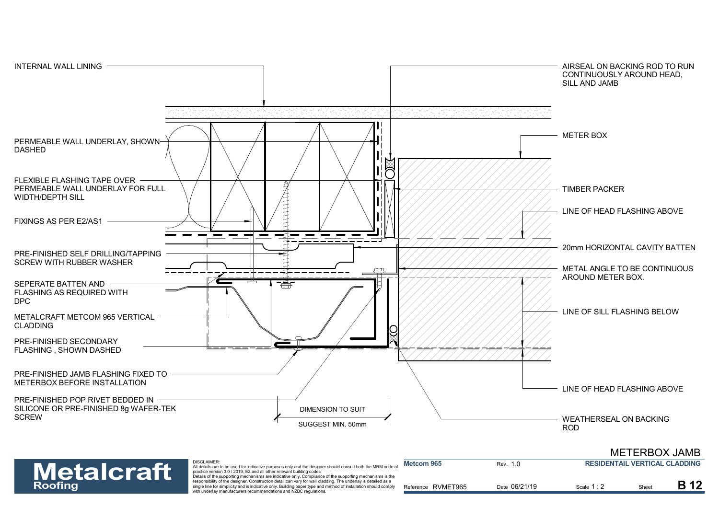

#### METERBOX JAMB

DISCLAIMER: **Metalcraft** 

| <b>Metalcraft</b> | DISCLAIMER:<br>All details are to be used for indicative purposes only and the designer should consult both the MRM code of<br>practice version 3.0 / 2019. E2 and all other relevant building codes                                                                                                                                                                                                              | Metcom 965            | Rev. 1.0      | <b>RESIDENTAIL VERTICAL CLADDING</b> |       |  |
|-------------------|-------------------------------------------------------------------------------------------------------------------------------------------------------------------------------------------------------------------------------------------------------------------------------------------------------------------------------------------------------------------------------------------------------------------|-----------------------|---------------|--------------------------------------|-------|--|
| <b>Roofing</b>    | Details of the supporting mechanisms are indicative only. Compliance of the supporting mechanisms is the<br>responsibility of the designer. Construction detail can vary for wall cladding. The underlay is detailed as a<br>single line for simplicity and is indicative only. Building paper type and method of installation should comply<br>with underlay manufacturers recommendations and NZBC regulations. | RVMET965<br>Reference | Date 06/21/19 | Scale 1:                             | Sheet |  |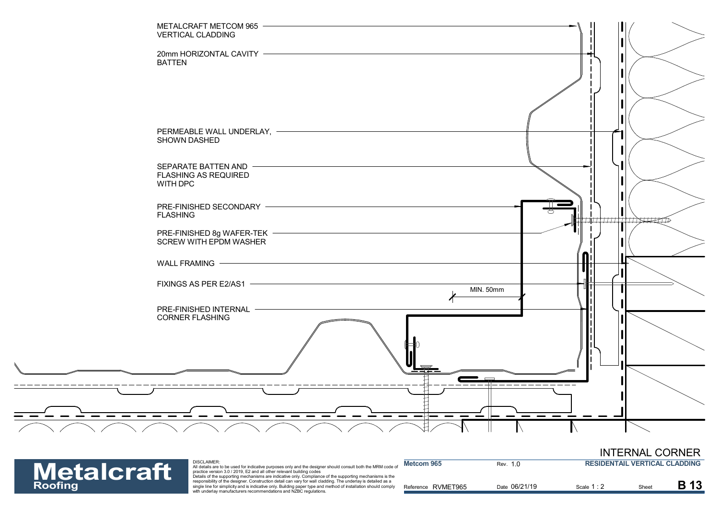



| <b>Metalcraft</b> | <b>DISCLAIMER:</b><br>All details are to be used for indicative purposes only and the designer should consult both the MRM code of<br>practice version 3.0 / 2019. E2 and all other relevant building codes<br>Details of the supporting mechanisms are indicative only. Compliance of the supporting mechanisms is the | Metcom 965         | Rev. 1.0      | <b>RESIDENTAIL VERTICAL CLADDING</b> |       |             |
|-------------------|-------------------------------------------------------------------------------------------------------------------------------------------------------------------------------------------------------------------------------------------------------------------------------------------------------------------------|--------------------|---------------|--------------------------------------|-------|-------------|
| <b>Roofing</b>    | responsibility of the designer. Construction detail can vary for wall cladding. The underlay is detailed as a<br>single line for simplicity and is indicative only. Building paper type and method of installation should comply<br>with underlay manufacturers recommendations and NZBC regulations.                   | Reference RVMET965 | Date 06/21/19 | Scale 1:2                            | Sheet | <b>B</b> 13 |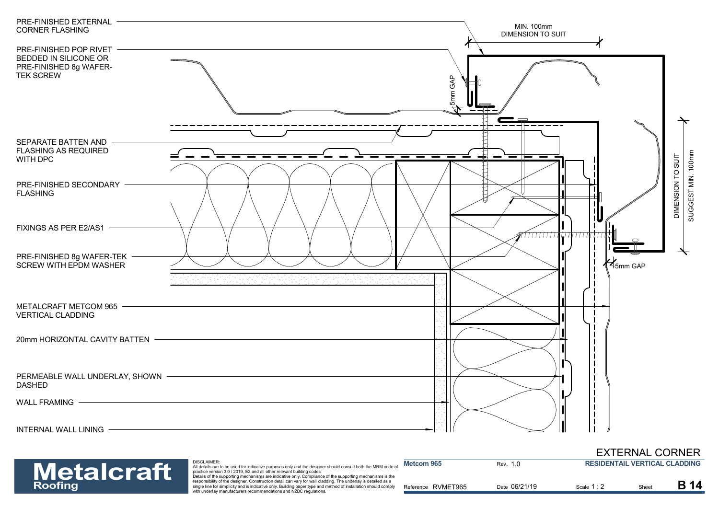

DISCLAIMER:<br>All details are to be used for indicative purposes only and the designer should consult both the MRM code of<br>practice version 3.0 / 2019, E2 and all other relevant building codes<br>Details of the supporting mecha

| <b>Metalcraft</b> | <b>DISCLAIMER</b><br>All details are to be used for indicative purposes only and the designer should consult both the MRM code of<br>practice version 3.0 / 2019. E2 and all other relevant building codes<br>Details of the supporting mechanisms are indicative only. Compliance of the supporting mechanisms is the | Metcom 965         | Rev. 1.0      | <b>RESIDENTAIL VERTICAL CLADDING</b> |       |             |
|-------------------|------------------------------------------------------------------------------------------------------------------------------------------------------------------------------------------------------------------------------------------------------------------------------------------------------------------------|--------------------|---------------|--------------------------------------|-------|-------------|
| <b>Roofing</b>    | responsibility of the designer. Construction detail can vary for wall cladding. The underlay is detailed as a<br>single line for simplicity and is indicative only. Building paper type and method of installation should comply<br>with underlay manufacturers recommendations and NZBC regulations.                  | Reference RVMET965 | Date 06/21/19 | Scale 1:2                            | Sheet | <b>B</b> 14 |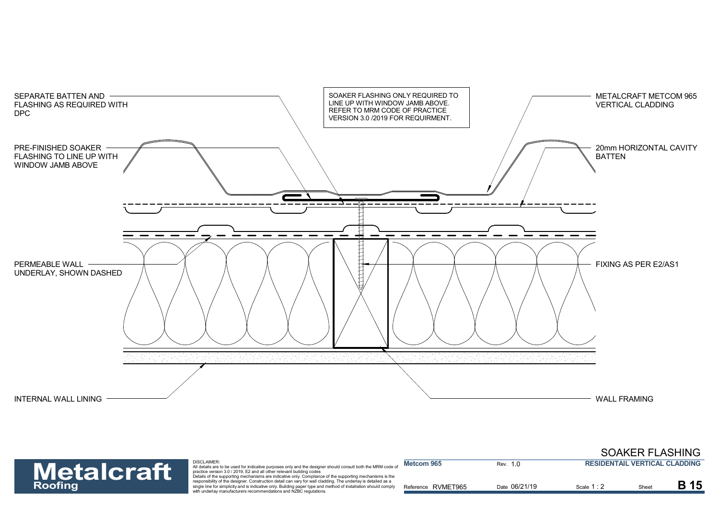

### SOAKER FLASHING

DISCLAIMER: **Metalcraft** 

| <b>Metalcraft</b> | DISCLAIMER:<br>All details are to be used for indicative purposes only and the designer should consult both the MRM code of<br>practice version 3.0 / 2019. E2 and all other relevant building codes<br>Details of the supporting mechanisms are indicative only. Compliance of the supporting mechanisms is the | <b>Metcom 965</b>     | Rev. 1.0      | <b>RESIDENTAIL VERTICAL CLADDING</b> |      |             |
|-------------------|------------------------------------------------------------------------------------------------------------------------------------------------------------------------------------------------------------------------------------------------------------------------------------------------------------------|-----------------------|---------------|--------------------------------------|------|-------------|
| <b>Roofing</b>    | responsibility of the designer. Construction detail can vary for wall cladding. The underlay is detailed as a<br>single line for simplicity and is indicative only. Building paper type and method of installation should comply<br>with underlay manufacturers recommendations and NZBC regulations.            | RVMET965<br>Reference | Date 06/21/19 | Scale 1 : ∠                          | Shee | <b>B</b> 15 |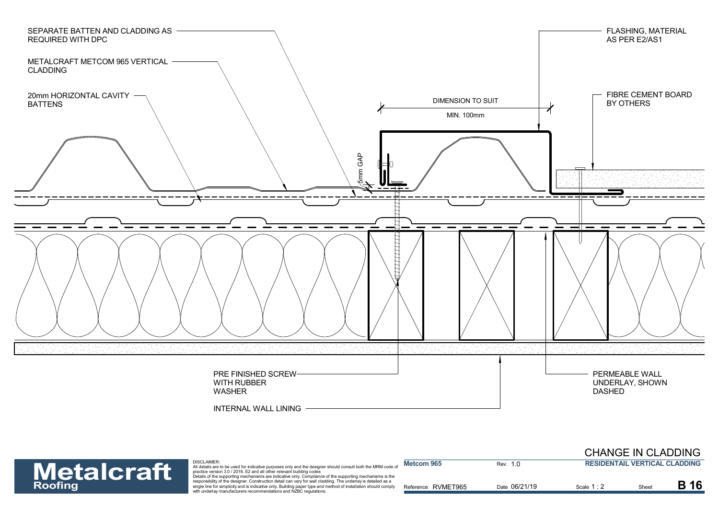

| <b>Metalcraft</b><br><b>Roofing</b> | <b>DISCLAIMER:</b><br>All details are to be used for indicative purposes only and the designer should consult both the MRM code of<br>practice version 3.0 / 2019. E2 and all other relevant building codes                                                                                                                                                                                                       | Metcom 965            | Rev. 1.0      | <b>RESIDENTAIL VERTICAL CLADDING</b> |      |  |
|-------------------------------------|-------------------------------------------------------------------------------------------------------------------------------------------------------------------------------------------------------------------------------------------------------------------------------------------------------------------------------------------------------------------------------------------------------------------|-----------------------|---------------|--------------------------------------|------|--|
|                                     | Details of the supporting mechanisms are indicative only. Compliance of the supporting mechanisms is the<br>responsibility of the designer. Construction detail can vary for wall cladding. The underlay is detailed as a<br>single line for simplicity and is indicative only. Building paper type and method of installation should comply<br>with underlay manufacturers recommendations and NZBC regulations. | RVMET965<br>Reference | Date 06/21/19 | Scale 1:2                            | Shee |  |

CHANGE IN CLADDING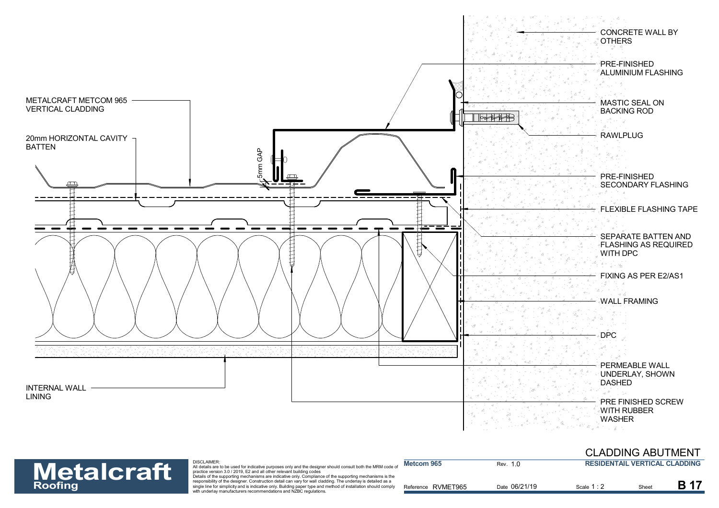

### DISCLAIMER: **Metalcraft**

| <b>Metalcraft</b> | DISCLAIMER:<br>All details are to be used for indicative purposes only and the designer should consult both the MRM code of<br>practice version 3.0 / 2019. E2 and all other relevant building codes                                                                                                                                                                                                              | Metcom 965         | Rev. 1.0      | <b>RESIDENTAIL VERTICAL CLADDING</b> |       |  |
|-------------------|-------------------------------------------------------------------------------------------------------------------------------------------------------------------------------------------------------------------------------------------------------------------------------------------------------------------------------------------------------------------------------------------------------------------|--------------------|---------------|--------------------------------------|-------|--|
| <b>Roofing</b>    | Details of the supporting mechanisms are indicative only. Compliance of the supporting mechanisms is the<br>responsibility of the designer. Construction detail can vary for wall cladding. The underlay is detailed as a<br>single line for simplicity and is indicative only. Building paper type and method of installation should comply<br>with underlay manufacturers recommendations and NZBC regulations. | Reference RVMET965 | Date 06/21/19 | Scale 1:                             | Sheet |  |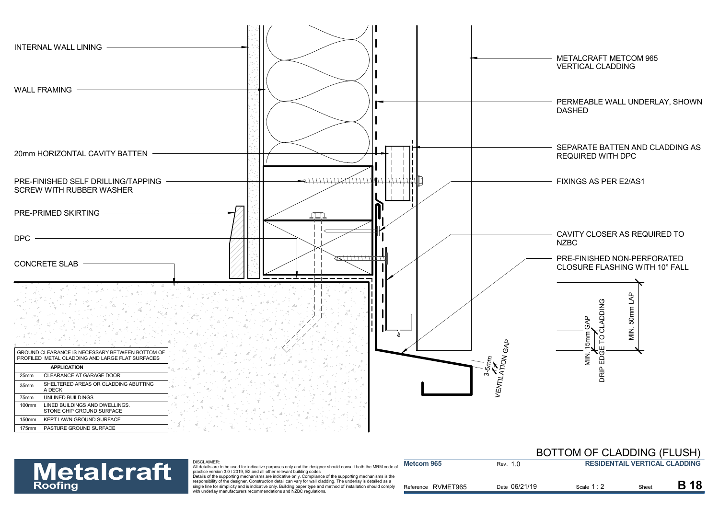

**Metcom 965**

**Metalcraft** 

DISCLAIMER:

| BOTTOM OF CLADDING (FLUSH) |  |                                    |  |
|----------------------------|--|------------------------------------|--|
|                            |  | <b>BEAIRENEAU MEBELAAL ALABBUA</b> |  |

| <b>Metalcraft</b> | DISCLAIMER:<br>All details are to be used for indicative purposes only and the designer should consult both the MRM code of<br>practice version 3.0 / 2019. E2 and all other relevant building codes<br>Details of the supporting mechanisms are indicative only. Compliance of the supporting mechanisms is the | Metcom 965         | Rev. 1.0      | <b>RESIDENTAIL VERTICAL CLADDING</b> |       |             |
|-------------------|------------------------------------------------------------------------------------------------------------------------------------------------------------------------------------------------------------------------------------------------------------------------------------------------------------------|--------------------|---------------|--------------------------------------|-------|-------------|
| <b>Roofing</b>    | responsibility of the designer. Construction detail can vary for wall cladding. The underlay is detailed as a<br>single line for simplicity and is indicative only. Building paper type and method of installation should comply<br>with underlay manufacturers recommendations and NZBC regulations.            | Reference RVMET965 | Date 06/21/19 | Scale 1:                             | Sheet | <b>B</b> 18 |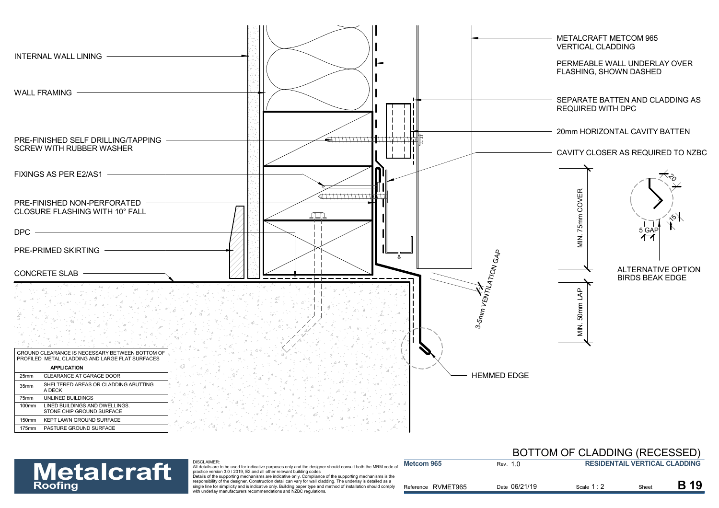

#### DISCLAIMER:

#### BOTTOM OF CLADDING (RECESSED) **RESIDENTAIL VERTICAL CLADDING**

| <b>Metalcraft</b> | DISCLAIMER:<br>All details are to be used for indicative purposes only and the designer should consult both the MRM code of<br>practice version 3.0 / 2019. E2 and all other relevant building codes<br>Details of the supporting mechanisms are indicative only. Compliance of the supporting mechanisms is the | <b>Metcom 965</b>  | Rev. 1.0      | <b>RESIDENTAIL VERTICAL CLADDING</b> |             |  |
|-------------------|------------------------------------------------------------------------------------------------------------------------------------------------------------------------------------------------------------------------------------------------------------------------------------------------------------------|--------------------|---------------|--------------------------------------|-------------|--|
| <b>Roofing</b>    | responsibility of the designer. Construction detail can vary for wall cladding. The underlay is detailed as a<br>single line for simplicity and is indicative only. Building paper type and method of installation should comply<br>with underlay manufacturers recommendations and NZBC regulations.            | Reference RVMET965 | Date 06/21/19 | Scale 1 : 2                          | <b>Shee</b> |  |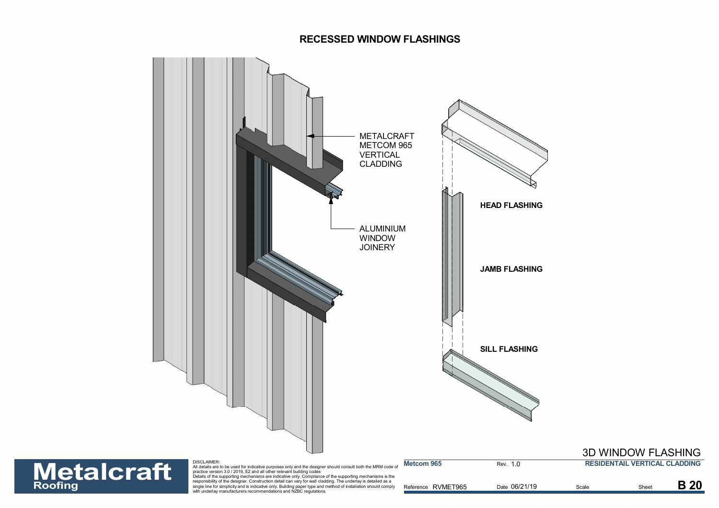#### **RECESSED WINDOW FLASHINGS**



| <b>Metalcraft</b> | DISCLAIMER:<br>All details are to be used for indicative purposes only and the designer should consult both the MRM code of<br>practice version 3.0 / 2019. E2 and all other relevant building codes<br>Details of the supporting mechanisms are indicative only. Compliance of the supporting mechanisms is the | Metcom 965         | Rev. 1.0      | <b>RESIDENTAIL VERTICAL CLADDING</b> |      |            |
|-------------------|------------------------------------------------------------------------------------------------------------------------------------------------------------------------------------------------------------------------------------------------------------------------------------------------------------------|--------------------|---------------|--------------------------------------|------|------------|
| <b>Roofing</b>    | responsibility of the designer. Construction detail can vary for wall cladding. The underlay is detailed as a<br>single line for simplicity and is indicative only. Building paper type and method of installation should comply<br>with underlay manufacturers recommendations and NZBC regulations.            | Reference RVMET965 | Date 06/21/19 | Scale                                | Shee | <b>B20</b> |